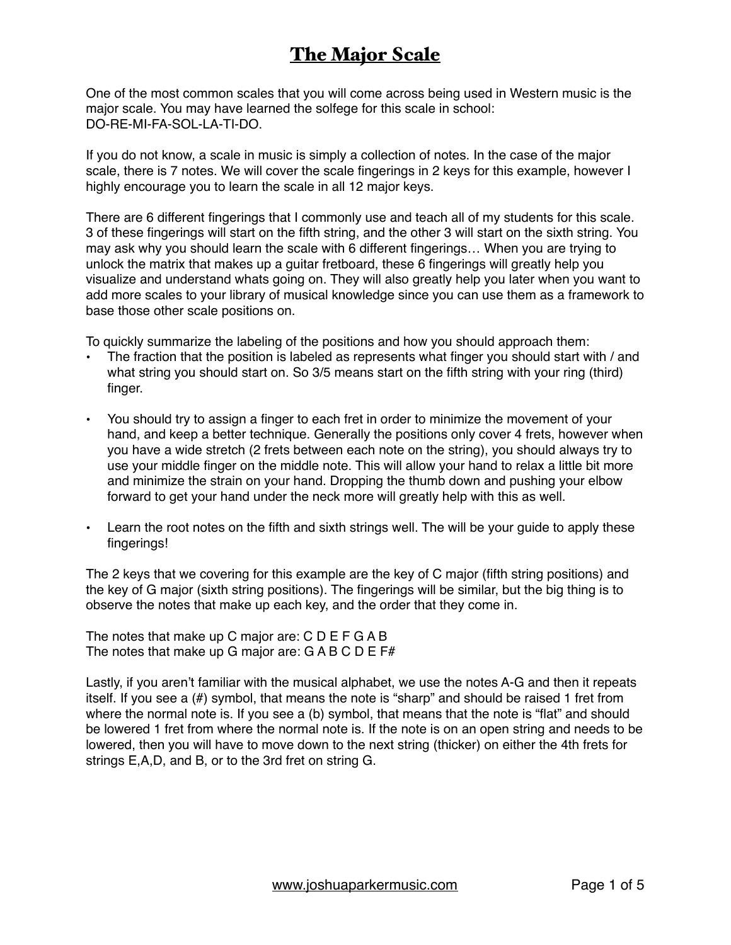One of the most common scales that you will come across being used in Western music is the major scale. You may have learned the solfege for this scale in school: DO-RE-MI-FA-SOL-LA-TI-DO.

If you do not know, a scale in music is simply a collection of notes. In the case of the major scale, there is 7 notes. We will cover the scale fingerings in 2 keys for this example, however I highly encourage you to learn the scale in all 12 major keys.

There are 6 different fingerings that I commonly use and teach all of my students for this scale. 3 of these fingerings will start on the fifth string, and the other 3 will start on the sixth string. You may ask why you should learn the scale with 6 different fingerings… When you are trying to unlock the matrix that makes up a guitar fretboard, these 6 fingerings will greatly help you visualize and understand whats going on. They will also greatly help you later when you want to add more scales to your library of musical knowledge since you can use them as a framework to base those other scale positions on.

To quickly summarize the labeling of the positions and how you should approach them:

- The fraction that the position is labeled as represents what finger you should start with / and what string you should start on. So 3/5 means start on the fifth string with your ring (third) finger.
- You should try to assign a finger to each fret in order to minimize the movement of your hand, and keep a better technique. Generally the positions only cover 4 frets, however when you have a wide stretch (2 frets between each note on the string), you should always try to use your middle finger on the middle note. This will allow your hand to relax a little bit more and minimize the strain on your hand. Dropping the thumb down and pushing your elbow forward to get your hand under the neck more will greatly help with this as well.
- Learn the root notes on the fifth and sixth strings well. The will be your guide to apply these fingerings!

The 2 keys that we covering for this example are the key of C major (fifth string positions) and the key of G major (sixth string positions). The fingerings will be similar, but the big thing is to observe the notes that make up each key, and the order that they come in.

The notes that make up C major are: C D E F G A B The notes that make up G major are:  $G AB C D E F#$ 

Lastly, if you aren't familiar with the musical alphabet, we use the notes A-G and then it repeats itself. If you see a (#) symbol, that means the note is "sharp" and should be raised 1 fret from where the normal note is. If you see a (b) symbol, that means that the note is "flat" and should be lowered 1 fret from where the normal note is. If the note is on an open string and needs to be lowered, then you will have to move down to the next string (thicker) on either the 4th frets for strings E,A,D, and B, or to the 3rd fret on string G.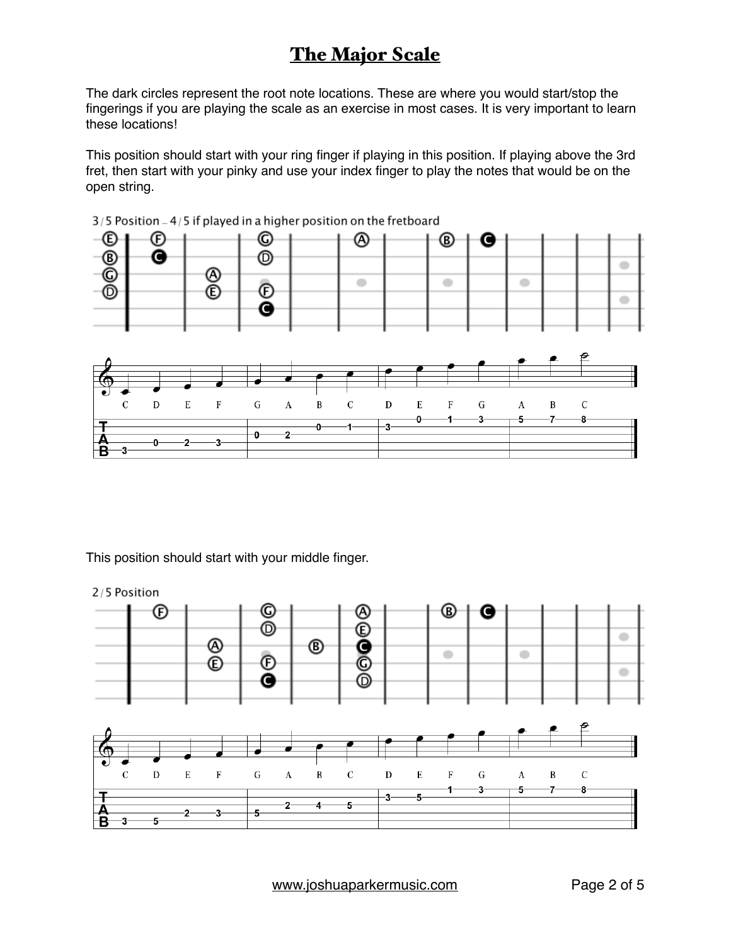The dark circles represent the root note locations. These are where you would start/stop the fingerings if you are playing the scale as an exercise in most cases. It is very important to learn these locations!

This position should start with your ring finger if playing in this position. If playing above the 3rd fret, then start with your pinky and use your index finger to play the notes that would be on the open string.



 $3/5$  Position  $-4/5$  if played in a higher position on the fretboard

This position should start with your middle finger.



[www.joshuaparkermusic.com](http://www.joshuaparkermusic.com) Page 2 of 5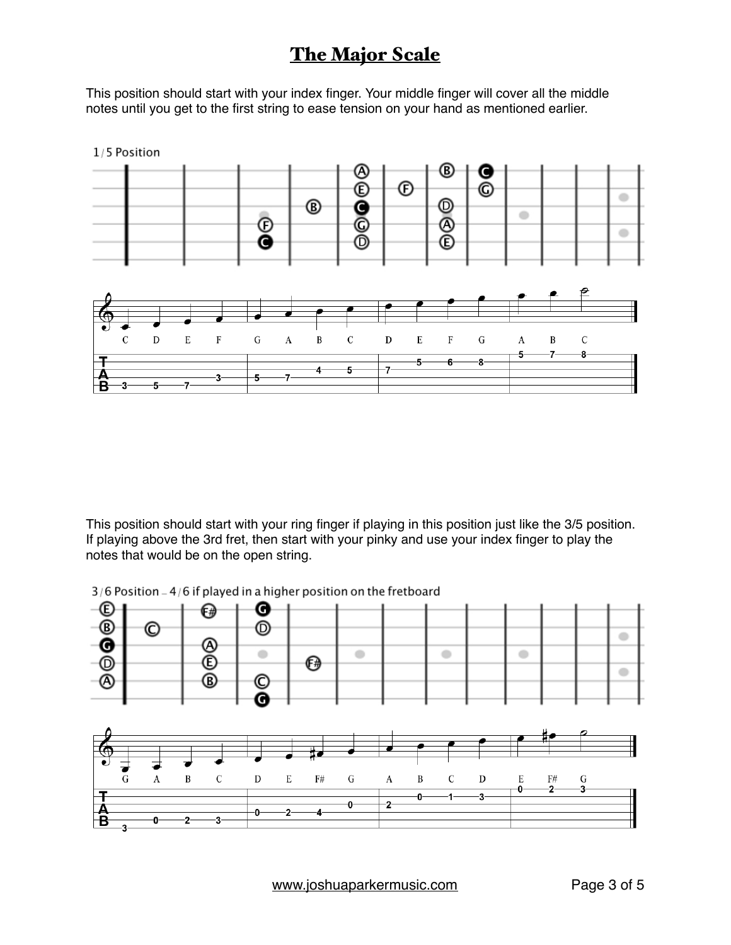This position should start with your index finger. Your middle finger will cover all the middle notes until you get to the first string to ease tension on your hand as mentioned earlier.



This position should start with your ring finger if playing in this position just like the 3/5 position. If playing above the 3rd fret, then start with your pinky and use your index finger to play the notes that would be on the open string.

 $3/6$  Position  $-4/6$  if played in a higher position on the fretboard

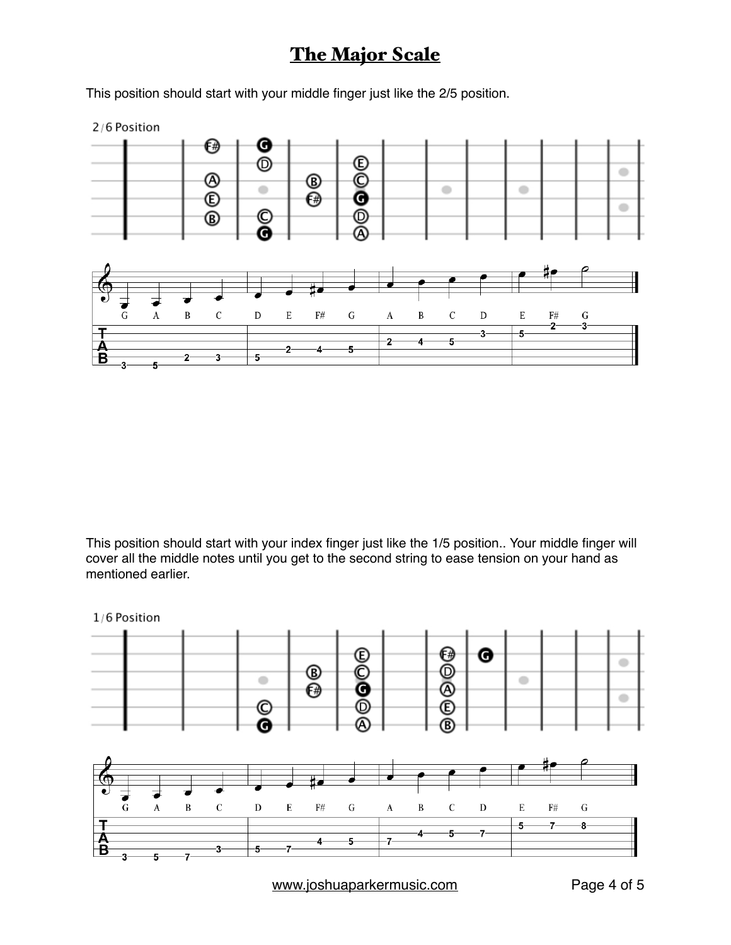This position should start with your middle finger just like the 2/5 position.

2/6 Position



This position should start with your index finger just like the 1/5 position.. Your middle finger will cover all the middle notes until you get to the second string to ease tension on your hand as mentioned earlier.



[www.joshuaparkermusic.com](http://www.joshuaparkermusic.com) Page 4 of 5